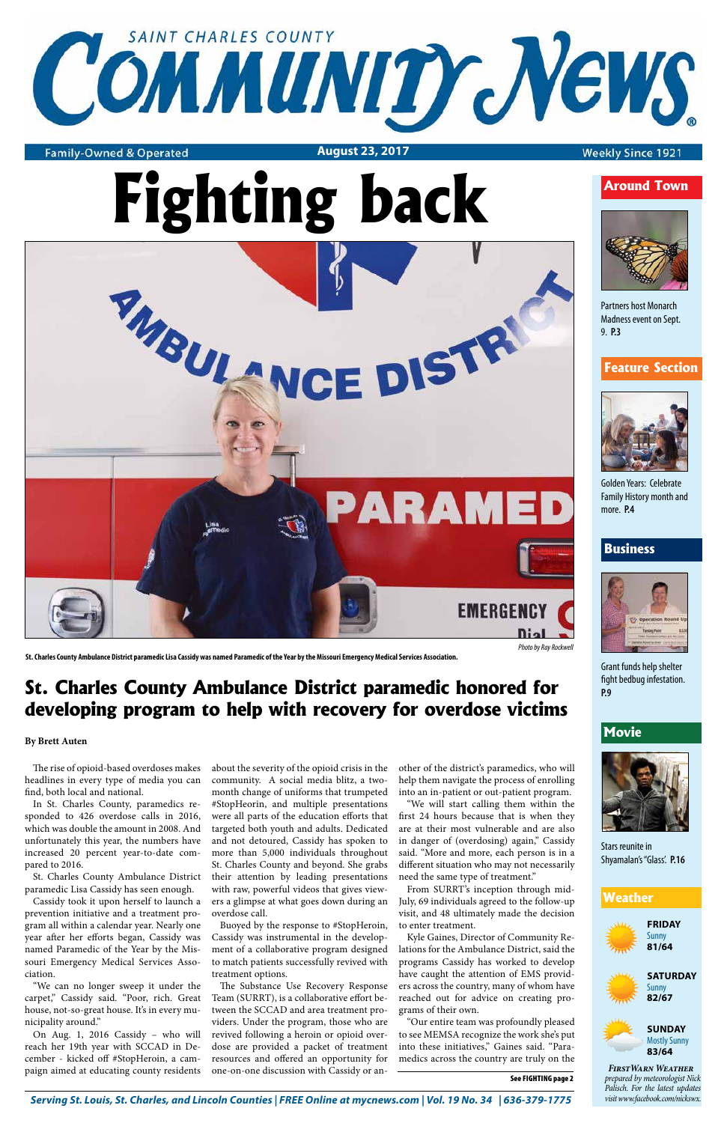

#### **Family-Owned & Operated**

*Serving St. Louis, St. Charles, and Lincoln Counties | FREE Online at mycnews.com | Vol. 19 No. 34 | 636-379-1775* 





#### **Movie**



**August 23, 2017**

#### **Weekly Since 1921**







### **Weather**

*prepared by meteorologist Nick Palisch. For the latest updates visit www.facebook.com/nickswx. FirstWarn Weather*

The rise of opioid-based overdoses makes headlines in every type of media you can find, both local and national.

In St. Charles County, paramedics responded to 426 overdose calls in 2016, which was double the amount in 2008. And unfortunately this year, the numbers have increased 20 percent year-to-date compared to 2016.

St. Charles County Ambulance District paramedic Lisa Cassidy has seen enough.

Cassidy took it upon herself to launch a prevention initiative and a treatment program all within a calendar year. Nearly one year after her efforts began, Cassidy was named Paramedic of the Year by the Missouri Emergency Medical Services Association.

"We can no longer sweep it under the carpet," Cassidy said. "Poor, rich. Great house, not-so-great house. It's in every municipality around."

On Aug. 1, 2016 Cassidy – who will reach her 19th year with SCCAD in December - kicked off #StopHeroin, a campaign aimed at educating county residents about the severity of the opioid crisis in the community. A social media blitz, a twomonth change of uniforms that trumpeted #StopHeorin, and multiple presentations were all parts of the education efforts that targeted both youth and adults. Dedicated and not detoured, Cassidy has spoken to more than 5,000 individuals throughout St. Charles County and beyond. She grabs their attention by leading presentations with raw, powerful videos that gives viewers a glimpse at what goes down during an overdose call.

Buoyed by the response to #StopHeroin, Cassidy was instrumental in the development of a collaborative program designed to match patients successfully revived with treatment options.

The Substance Use Recovery Response Team (SURRT), is a collaborative effort between the SCCAD and area treatment providers. Under the program, those who are revived following a heroin or opioid overdose are provided a packet of treatment resources and offered an opportunity for one-on-one discussion with Cassidy or an-

other of the district's paramedics, who will help them navigate the process of enrolling into an in-patient or out-patient program.

"We will start calling them within the first 24 hours because that is when they

are at their most vulnerable and are also in danger of (overdosing) again," Cassidy said. "More and more, each person is in a different situation who may not necessarily need the same type of treatment."

From SURRT's inception through mid-July, 69 individuals agreed to the follow-up visit, and 48 ultimately made the decision to enter treatment.

Kyle Gaines, Director of Community Relations for the Ambulance District, said the programs Cassidy has worked to develop have caught the attention of EMS providers across the country, many of whom have reached out for advice on creating programs of their own.

"Our entire team was profoundly pleased to see MEMSA recognize the work she's put into these initiatives," Gaines said. "Paramedics across the country are truly on the

#### See FIGHTING page 2



Stars reunite in Shyamalan's "Glass'. **P.16**

#### **Feature Section**



Golden Years: Celebrate Family History month and more. **P.4**

Grant funds help shelter fight bedbug infestation. **P.9**

#### **Business**



Partners host Monarch Madness event on Sept. 9. **P.3**

# **St. Charles County Ambulance District paramedic honored for developing program to help with recovery for overdose victims**

*Photo by Ray Rockwell*

**St. Charles County Ambulance District paramedic Lisa Cassidy was named Paramedic of the Year by the Missouri Emergency Medical Services Association.**

#### **By Brett Auten**

# **Fighting back**